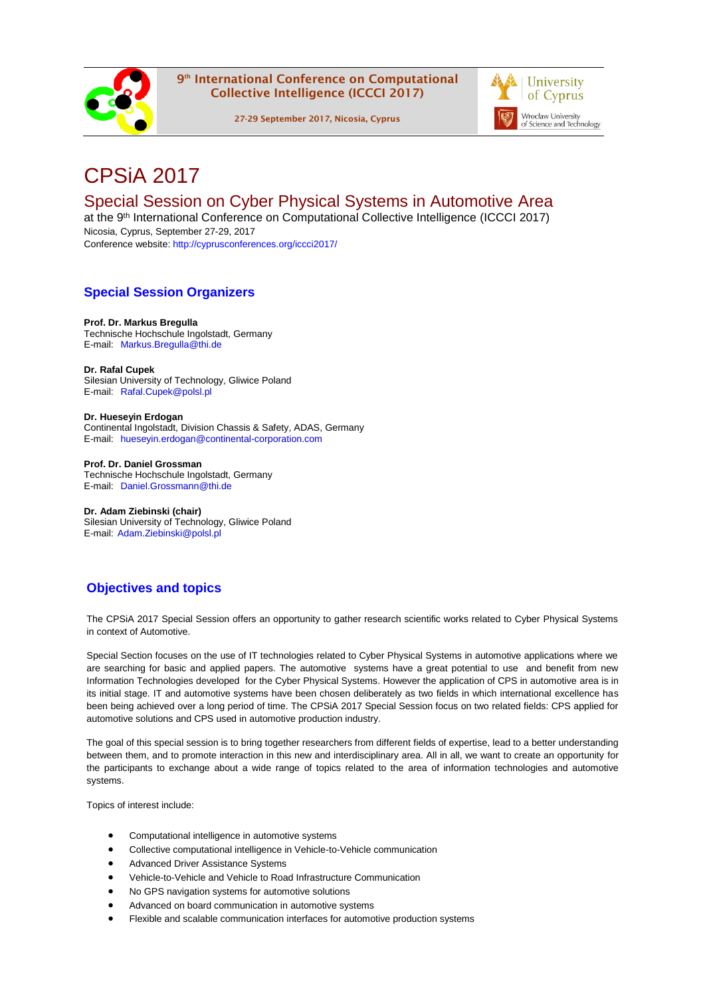

9<sup>th</sup> International Conference on Computational Collective Intelligence (ICCCI 2017)

27-29 September 2017, Nicosia, Cyprus



# CPSiA 2017

# Special Session on Cyber Physical Systems in Automotive Area

at the 9<sup>th</sup> International Conference on Computational Collective Intelligence (ICCCI 2017) Nicosia, Cyprus, September 27-29, 2017 Conference website:<http://cyprusconferences.org/iccci2017/>

# **Special Session Organizers**

#### **Prof. Dr. Markus Bregulla**

Technische Hochschule Ingolstadt, Germany E-mail: Markus.Bregulla@thi.de

**Dr. Rafal Cupek** Silesian University of Technology, Gliwice Poland E-mail: Rafal.Cupek@polsl.pl

**Dr. Hueseyin Erdogan**

Continental Ingolstadt, Division Chassis & Safety, ADAS, Germany E-mail: hueseyin.erdogan@continental-corporation.com

**Prof. Dr. Daniel Grossman** Technische Hochschule Ingolstadt, Germany E-mail: Daniel.Grossmann@thi.de

**Dr. Adam Ziebinski (chair)** Silesian University of Technology, Gliwice Poland E-mail: Adam.Ziebinski@polsl.pl

# **Objectives and topics**

The CPSiA 2017 Special Session offers an opportunity to gather research scientific works related to Cyber Physical Systems in context of Automotive.

Special Section focuses on the use of IT technologies related to Cyber Physical Systems in automotive applications where we are searching for basic and applied papers. The automotive systems have a great potential to use and benefit from new Information Technologies developed for the Cyber Physical Systems. However the application of CPS in automotive area is in its initial stage. IT and automotive systems have been chosen deliberately as two fields in which international excellence has been being achieved over a long period of time. The CPSiA 2017 Special Session focus on two related fields: CPS applied for automotive solutions and CPS used in automotive production industry.

The goal of this special session is to bring together researchers from different fields of expertise, lead to a better understanding between them, and to promote interaction in this new and interdisciplinary area. All in all, we want to create an opportunity for the participants to exchange about a wide range of topics related to the area of information technologies and automotive systems.

Topics of interest include:

- Computational intelligence in automotive systems
- Collective computational intelligence in Vehicle-to-Vehicle communication
- Advanced Driver Assistance Systems
- Vehicle-to-Vehicle and Vehicle to Road Infrastructure Communication
- No GPS navigation systems for automotive solutions
- Advanced on board communication in automotive systems
- Flexible and scalable communication interfaces for automotive production systems